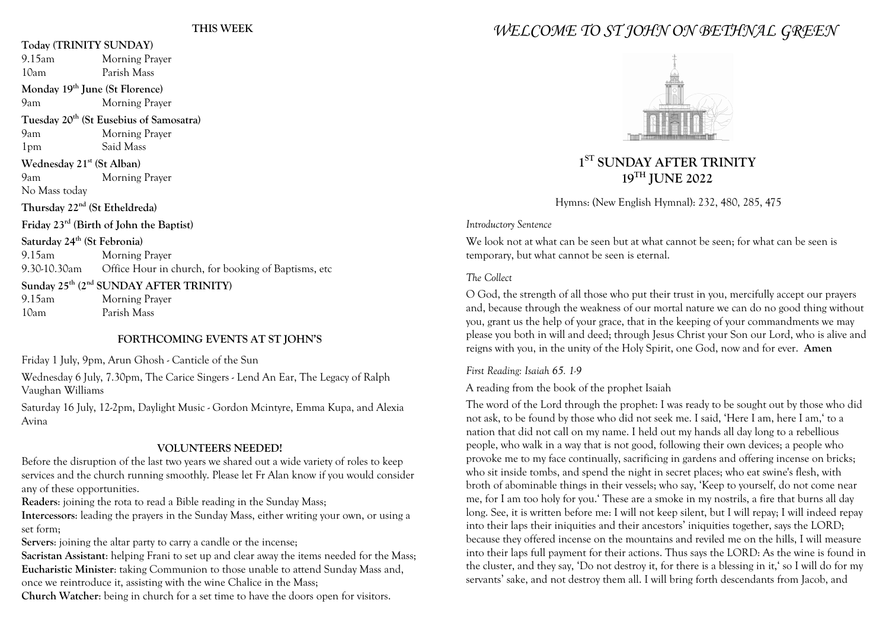### **Today (TRINITY SUNDAY)**

|                                                                | $\mathbf{u}$ , and the $\mathbf{v}$                 |                                                                  |
|----------------------------------------------------------------|-----------------------------------------------------|------------------------------------------------------------------|
|                                                                | 9.15am                                              | Morning Prayer                                                   |
|                                                                | 10am                                                | Parish Mass                                                      |
| Monday 19th June (St Florence)                                 |                                                     |                                                                  |
|                                                                | 9am                                                 | Morning Prayer                                                   |
| Tuesday 20 <sup>th</sup> (St Eusebius of Samosatra)            |                                                     |                                                                  |
|                                                                | 9am                                                 | Morning Prayer                                                   |
|                                                                | 1 <sub>pm</sub>                                     | Said Mass                                                        |
|                                                                | Wednesday 21 <sup>st</sup> (St Alban)               |                                                                  |
|                                                                | 9am                                                 | Morning Prayer                                                   |
|                                                                | No Mass today                                       |                                                                  |
|                                                                | Thursday 22 <sup>nd</sup> (St Etheldreda)           |                                                                  |
|                                                                | Friday 23 <sup>rd</sup> (Birth of John the Baptist) |                                                                  |
|                                                                | Saturday 24 <sup>th</sup> (St Febronia)             |                                                                  |
|                                                                | 9.15am                                              | Morning Prayer                                                   |
|                                                                |                                                     | 9.30-10.30am Office Hour in church, for booking of Baptisms, etc |
| Sunday 25 <sup>th</sup> (2 <sup>nd</sup> SUNDAY AFTER TRINITY) |                                                     |                                                                  |
|                                                                | $9.15$ am                                           | Morning Prayer                                                   |
|                                                                | 10am                                                | Parish Mass                                                      |
|                                                                |                                                     |                                                                  |

### **FORTHCOMING EVENTS AT ST JOHN'S**

Friday 1 July, 9pm, Arun Ghosh - Canticle of the Sun

Wednesday 6 July, 7.30pm, The Carice Singers - Lend An Ear, The Legacy of Ralph Vaughan Williams

Saturday 16 July, 12-2pm, Daylight Music - Gordon Mcintyre, Emma Kupa, and Alexia Avina

# **VOLUNTEERS NEEDED!**

Before the disruption of the last two years we shared out a wide variety of roles to keep services and the church running smoothly. Please let Fr Alan know if you would consider any of these opportunities.

**Readers**: joining the rota to read a Bible reading in the Sunday Mass;

**Intercessors**: leading the prayers in the Sunday Mass, either writing your own, or using a set form;

**Servers**: joining the altar party to carry a candle or the incense;

**Sacristan Assistant**: helping Frani to set up and clear away the items needed for the Mass; **Eucharistic Minister**: taking Communion to those unable to attend Sunday Mass and, once we reintroduce it, assisting with the wine Chalice in the Mass;

**Church Watcher**: being in church for a set time to have the doors open for visitors.

# *WELCOME TO ST JOHN ON BETHNAL GREEN*



# **1ST SUNDAY AFTER TRINITY 19TH JUNE 2022**

Hymns: (New English Hymnal): 232, 480, 285, 475

*Introductory Sentence*

We look not at what can be seen but at what cannot be seen; for what can be seen is temporary, but what cannot be seen is eternal.

# *The Collect*

O God, the strength of all those who put their trust in you, mercifully accept our prayers and, because through the weakness of our mortal nature we can do no good thing without you, grant us the help of your grace, that in the keeping of your commandments we may please you both in will and deed; through Jesus Christ your Son our Lord, who is alive and reigns with you, in the unity of the Holy Spirit, one God, now and for ever. **Amen**

# *First Reading: Isaiah 65. 1-9*

A reading from the book of the prophet Isaiah

The word of the Lord through the prophet: I was ready to be sought out by those who did not ask, to be found by those who did not seek me. I said, 'Here I am, here I am,' to a nation that did not call on my name. I held out my hands all day long to a rebellious people, who walk in a way that is not good, following their own devices; a people who provoke me to my face continually, sacrificing in gardens and offering incense on bricks; who sit inside tombs, and spend the night in secret places; who eat swine's flesh, with broth of abominable things in their vessels; who say, 'Keep to yourself, do not come near me, for I am too holy for you.' These are a smoke in my nostrils, a fire that burns all day long. See, it is written before me: I will not keep silent, but I will repay; I will indeed repay into their laps their iniquities and their ancestors' iniquities together, says the LORD; because they offered incense on the mountains and reviled me on the hills, I will measure into their laps full payment for their actions. Thus says the LORD: As the wine is found in the cluster, and they say, 'Do not destroy it, for there is a blessing in it,' so I will do for my servants' sake, and not destroy them all. I will bring forth descendants from Jacob, and